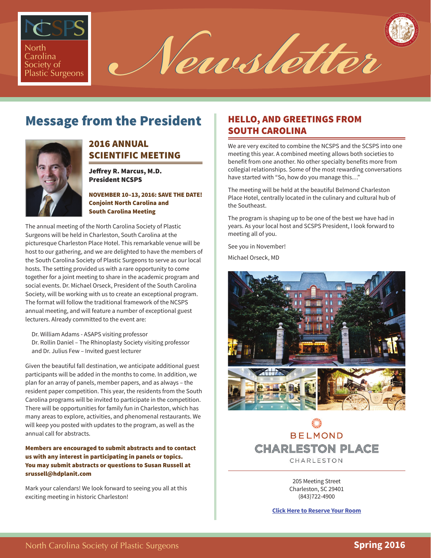

North Carolina **Caroling Caroline Caroline** 1

# Message from the President



## 2016 ANNUAL SCIENTIFIC MEETING

Jeffrey R. Marcus, M.D. President NCSPS

NOVEMBER 10–13, 2016: SAVE THE DATE! Conjoint North Carolina and South Carolina Meeting

The annual meeting of the North Carolina Society of Plastic Surgeons will be held in Charleston, South Carolina at the picturesque Charleston Place Hotel. This remarkable venue will be host to our gathering, and we are delighted to have the members of the South Carolina Society of Plastic Surgeons to serve as our local hosts. The setting provided us with a rare opportunity to come together for a joint meeting to share in the academic program and social events. Dr. Michael Orseck, President of the South Carolina Society, will be working with us to create an exceptional program. The format will follow the traditional framework of the NCSPS annual meeting, and will feature a number of exceptional guest lecturers. Already committed to the event are:

Dr. William Adams - ASAPS visiting professor

Dr. Rollin Daniel – The Rhinoplasty Society visiting professor and Dr. Julius Few – Invited guest lecturer

Given the beautiful fall destination, we anticipate additional guest participants will be added in the months to come. In addition, we plan for an array of panels, member papers, and as always – the resident paper competition. This year, the residents from the South Carolina programs will be invited to participate in the competition. There will be opportunities for family fun in Charleston, which has many areas to explore, activities, and phenomenal restaurants. We will keep you posted with updates to the program, as well as the annual call for abstracts.

#### Members are encouraged to submit abstracts and to contact us with any interest in participating in panels or topics. You may submit abstracts or questions to Susan Russell at srussell@hdplanit.com

Mark your calendars! We look forward to seeing you all at this exciting meeting in historic Charleston!

# HELLO, AND GREETINGS FROM SOUTH CAROLINA

We are very excited to combine the NCSPS and the SCSPS into one meeting this year. A combined meeting allows both societies to benefit from one another. No other specialty benefits more from collegial relationships. Some of the most rewarding conversations have started with "So, how do you manage this…"

The meeting will be held at the beautiful Belmond Charleston Place Hotel, centrally located in the culinary and cultural hub of the Southeast.

The program is shaping up to be one of the best we have had in years. As your local host and SCSPS President, I look forward to meeting all of you.

See you in November!

Michael Orseck, MD



**BELMOND CHARLESTON PLACE** CHARLESTON

> 205 Meeting Street Charleston, SC 29401 (843)722-4900

**[Click Here to Reserve Your Room](https://www.reservations-page.com/c00627/h11366/ov.aspx?__groupcode=1511NCSOCI)**